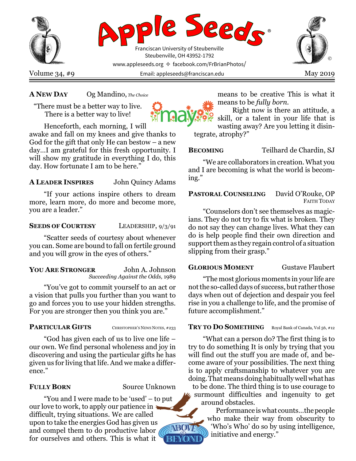

# A NEW DAY Og Mandino, The Choice

"There must be a better way to live. There is a better way to live!

Henceforth, each morning, I will awake and fall on my knees and give thanks to God for the gift that only He can bestow  $-$  a new day…I am grateful for this fresh opportunity. I will show my gratitude in everything I do, this day. How fortunate I am to be here."

## A LEADER INSPIRES John Quincy Adams

"If your actions inspire others to dream more, learn more, do more and become more, you are a leader."

## SEEDS OF COURTESY LEADERSHIP, 9/3/91

"Scatter seeds of courtesy about whenever you can. Some are bound to fall on fertile ground and you will grow in the eyes of others."

YOU ARE STRONGER John A. Johnson Succeeding Against the Odds, 1989

"You've got to commit yourself to an act or a vision that pulls you further than you want to go and forces you to use your hidden strengths. For you are stronger then you think you are."

# PARTICULAR GIFTS CHRISTOPHER'S NEWS NOTES, #233

"God has given each of us to live one life – our own. We find personal wholeness and joy in discovering and using the particular gifts he has given us for living that life. And we make a difference."

FULLY BORN Source Unknown

NBOWP

"You and I were made to be 'used' – to put our love to work, to apply our patience in difficult, trying situations. We are called upon to take the energies God has given us and compel them to do productive labor for ourselves and others. This is what it **BEYONE**  means to be creative This is what it means to be fully born.

Right now is there an attitude, a skill, or a talent in your life that is wasting away? Are you letting it disintegrate, atrophy?"

BECOMING Teilhard de Chardin, SJ

"We are collaborators in creation. What you and I are becoming is what the world is becoming."

# PASTORAL COUNSELING David O'Rouke, OP FAITH TODAY

"Counselors don't see themselves as magicians. They do not try to fix what is broken. They do not say they can change lives. What they can do is help people find their own direction and support them as they regain control of a situation slipping from their grasp."

## GLORIOUS MOMENT Gustave Flaubert

"The most glorious moments in your life are not the so-called days of success, but rather those days when out of dejection and despair you feel rise in you a challenge to life, and the promise of future accomplishment."

## TRY TO DO SOMETHING Royal Bank of Canada, Vol 56, #12

"What can a person do? The first thing is to try to do something It is only by trying that you will find out the stuff you are made of, and become aware of your possibilities. The next thing is to apply craftsmanship to whatever you are doing. That means doing habitually well what has to be done. The third thing is to use courage to

surmount difficulties and ingenuity to get around obstacles.

Performance is what counts…the people who make their way from obscurity to 'Who's Who' do so by using intelligence, initiative and energy."